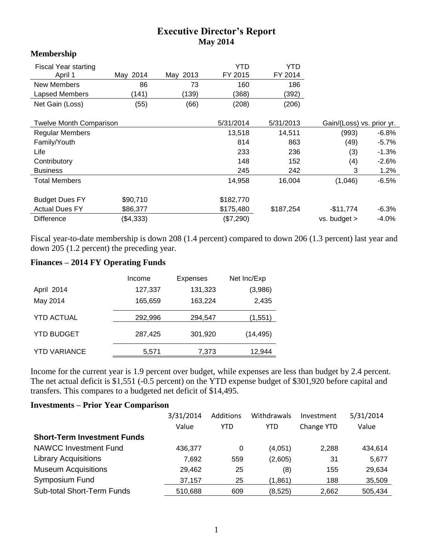## **Executive Director's Report May 2014**

| **************                 |           |           |           |                           |                  |          |
|--------------------------------|-----------|-----------|-----------|---------------------------|------------------|----------|
| <b>Fiscal Year starting</b>    |           |           | YTD       | YTD                       |                  |          |
| April 1                        | May 2014  | May 2013  | FY 2015   | FY 2014                   |                  |          |
| <b>New Members</b>             | 86        | 73        | 160       | 186                       |                  |          |
| <b>Lapsed Members</b>          | (141)     | (139)     | (368)     | (392)                     |                  |          |
| Net Gain (Loss)                | (55)      | (66)      | (208)     | (206)                     |                  |          |
| <b>Twelve Month Comparison</b> |           | 5/31/2014 | 5/31/2013 | Gain/(Loss) vs. prior yr. |                  |          |
| <b>Regular Members</b>         |           |           | 13,518    | 14,511                    | (993)            | $-6.8\%$ |
| Family/Youth                   |           |           | 814       | 863                       | (49)             | $-5.7\%$ |
| Life                           |           |           | 233       | 236                       | (3)              | $-1.3%$  |
| Contributory                   |           |           | 148       | 152                       | (4)              | $-2.6%$  |
| <b>Business</b>                |           |           | 245       | 242                       | 3                | $1.2\%$  |
| Total Members                  |           |           | 14,958    | 16,004                    | (1,046)          | $-6.5%$  |
| <b>Budget Dues FY</b>          | \$90,710  |           | \$182,770 |                           |                  |          |
| <b>Actual Dues FY</b>          | \$86,377  |           | \$175,480 | \$187,254                 | $-$11,774$       | $-6.3%$  |
| Difference                     | (\$4,333) |           | (\$7,290) |                           | $vs.$ budget $>$ | $-4.0%$  |

Fiscal year-to-date membership is down 208 (1.4 percent) compared to down 206 (1.3 percent) last year and down 205 (1.2 percent) the preceding year.

## **Finances – 2014 FY Operating Funds**

**Membership**

|                     | Income  | <b>Expenses</b> | Net Inc/Exp |
|---------------------|---------|-----------------|-------------|
| April 2014          | 127,337 | 131,323         | (3,986)     |
| May 2014            | 165,659 | 163,224         | 2,435       |
| <b>YTD ACTUAL</b>   | 292,996 | 294,547         | (1,551)     |
| <b>YTD BUDGET</b>   | 287,425 | 301,920         | (14, 495)   |
| <b>YTD VARIANCE</b> | 5,571   | 7,373           | 12,944      |

Income for the current year is 1.9 percent over budget, while expenses are less than budget by 2.4 percent. The net actual deficit is \$1,551 (-0.5 percent) on the YTD expense budget of \$301,920 before capital and transfers. This compares to a budgeted net deficit of \$14,495.

## **Investments – Prior Year Comparison**

|                                    | 3/31/2014<br>Value | Additions<br><b>YTD</b> | Withdrawals<br>YTD | Investment<br>Change YTD | 5/31/2014<br>Value |
|------------------------------------|--------------------|-------------------------|--------------------|--------------------------|--------------------|
| <b>Short-Term Investment Funds</b> |                    |                         |                    |                          |                    |
| <b>NAWCC Investment Fund</b>       | 436,377            | 0                       | (4,051)            | 2,288                    | 434,614            |
| <b>Library Acquisitions</b>        | 7.692              | 559                     | (2,605)            | 31                       | 5,677              |
| <b>Museum Acquisitions</b>         | 29,462             | 25                      | (8)                | 155                      | 29,634             |
| Symposium Fund                     | 37,157             | 25                      | (1,861)            | 188                      | 35,509             |
| <b>Sub-total Short-Term Funds</b>  | 510,688            | 609                     | (8,525)            | 2,662                    | 505,434            |